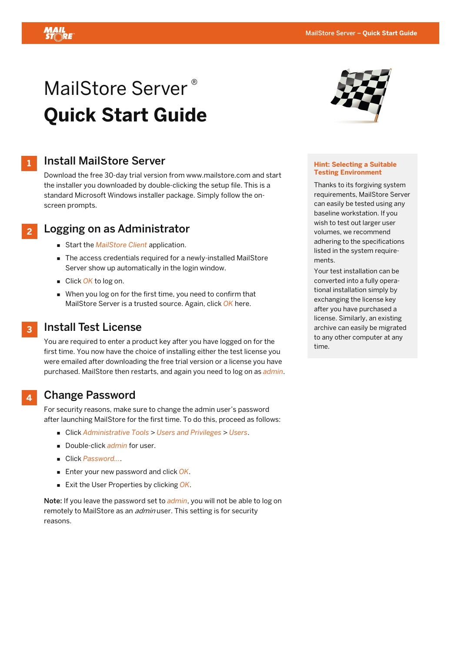

# MailStore Server<sup>®</sup> **Quick Start Guide**



**2** 

# Install MailStore Server

Download the free 30-day trial version from www.mailstore.com and start the installer you downloaded by double-clicking the setup file. This is a standard Microsoft Windows installer package. Simply follow the onscreen prompts.

# Logging on as Administrator

- Start the *MailStore Client* application.
- The access credentials required for a newly-installed MailStore Server show up automatically in the login window.
- Click OK to log on.
- When you log on for the first time, you need to confirm that MailStore Server is a trusted source. Again, click *OK* here.

#### Install Test License **3**

You are required to enter a product key after you have logged on for the first time. You now have the choice of installing either the test license you were emailed after downloading the free trial version or a license you have purchased. MailStore then restarts, and again you need to log on as *admin*.

#### Change Password **4**

For security reasons, make sure to change the admin user's password after launching MailStore for the first time. To do this, proceed as follows:

- Click *Administrative Tools* > *Users and Privileges* > *Users*.
- Double-click *admin* for user.
- Click *Password...*.
- Enter your new password and click OK.
- Exit the User Properties by clicking *OK*.

Note: If you leave the password set to *admin*, you will not be able to log on remotely to MailStore as an *admin* user. This setting is for security reasons.



#### **Hint: Selecting a Suitable Testing Environment**

Thanks to its forgiving system requirements, MailStore Server can easily be tested using any baseline workstation. If you wish to test out larger user volumes, we recommend adhering to the specifications listed in the system requirements.

Your test installation can be converted into a fully operational installation simply by exchanging the license key after you have purchased a license. Similarly, an existing archive can easily be migrated to any other computer at any time.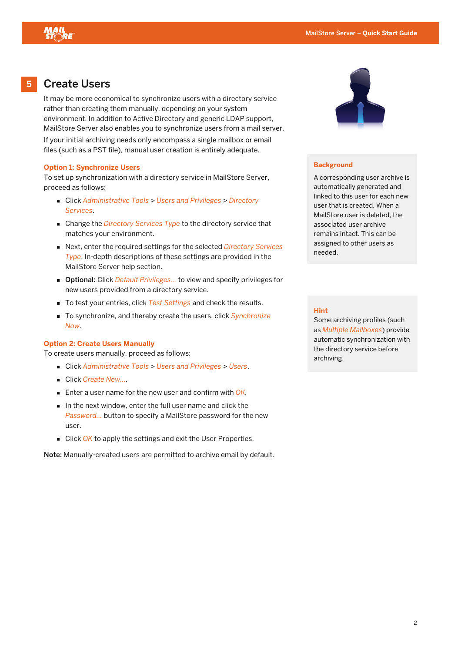

**5** 

## Create Users

It may be more economical to synchronize users with a directory service rather than creating them manually, depending on your system environment. In addition to Active Directory and generic LDAP support, MailStore Server also enables you to synchronize users from a mail server. If your initial archiving needs only encompass a single mailbox or email files (such as a PST file), manual user creation is entirely adequate.

#### **Option 1: Synchronize Users**

To set up synchronization with a directory service in MailStore Server, proceed as follows:

- Click *Administrative Tools* > *Users and Privileges* > *Directory Services*.
- Change the *Directory Services Type* to the directory service that matches your environment.
- Next, enter the required settings for the selected *Directory Services Type*. In-depth descriptions of these settings are provided in the MailStore Server help section.
- Optional: Click *Default Privileges...* to view and specify privileges for new users provided from a directory service.
- To test your entries, click *Test Settings* and check the results.
- To synchronize, and thereby create the users, click *Synchronize Now*.

#### **Option 2: Create Users Manually**

To create users manually, proceed as follows:

- Click *Administrative Tools* > *Users and Privileges* > *Users*.
- Click *Create New...*.
- Enter a user name for the new user and confirm with *OK.*
- In the next window, enter the full user name and click the *Password...* button to specify a MailStore password for the new user.
- Click OK to apply the settings and exit the User Properties.

Note: Manually-created users are permitted to archive email by default.



#### **Background**

A corresponding user archive is automatically generated and linked to this user for each new user that is created. When a MailStore user is deleted, the associated user archive remains intact. This can be assigned to other users as needed.

#### **Hint**

Some archiving profiles (such as *Multiple Mailboxes*) provide automatic synchronization with the directory service before archiving.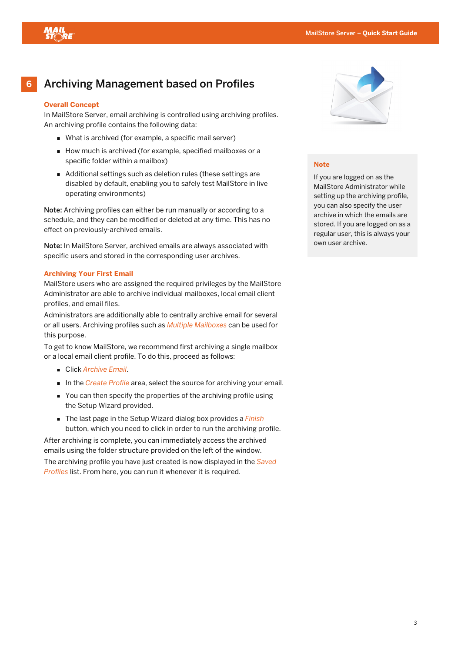

#### **6**  Archiving Management based on Profiles

## **Overall Concept**

In MailStore Server, email archiving is controlled using archiving profiles. An archiving profile contains the following data:

- What is archived (for example, a specific mail server)
- How much is archived (for example, specified mailboxes or a specific folder within a mailbox)
- Additional settings such as deletion rules (these settings are disabled by default, enabling you to safely test MailStore in live operating environments)

Note: Archiving profiles can either be run manually or according to a schedule, and they can be modified or deleted at any time. This has no effect on previously-archived emails.

Note: In MailStore Server, archived emails are always associated with specific users and stored in the corresponding user archives.

#### **Archiving Your First Email**

MailStore users who are assigned the required privileges by the MailStore Administrator are able to archive individual mailboxes, local email client profiles, and email files.

Administrators are additionally able to centrally archive email for several or all users. Archiving profiles such as *Multiple Mailboxes* can be used for this purpose.

To get to know MailStore, we recommend first archiving a single mailbox or a local email client profile. To do this, proceed as follows:

- Click *Archive Email*.
- In the *Create Profile* area, select the source for archiving your email.
- You can then specify the properties of the archiving profile using the Setup Wizard provided.
- The last page in the Setup Wizard dialog box provides a *Finish*  button, which you need to click in order to run the archiving profile.

After archiving is complete, you can immediately access the archived emails using the folder structure provided on the left of the window. The archiving profile you have just created is now displayed in the *Saved Profiles* list. From here, you can run it whenever it is required.



### **Note**

If you are logged on as the MailStore Administrator while setting up the archiving profile, you can also specify the user archive in which the emails are stored. If you are logged on as a regular user, this is always your own user archive.